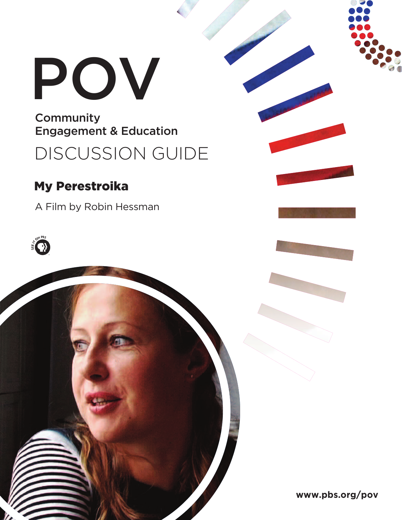# POV

**Community** Engagement & Education

Discussion GuiDe

# My Perestroika

A Film by Robin Hessman





**www.pbs.org/pov**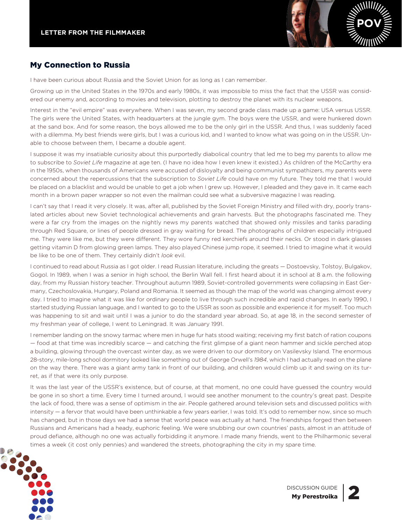

# My Connection to Russia

I have been curious about Russia and the Soviet Union for as long as I can remember.

Growing up in the United States in the 1970s and early 1980s, it was impossible to miss the fact that the USSR was considered our enemy and, according to movies and television, plotting to destroy the planet with its nuclear weapons.

Interest in the "evil empire" was everywhere. When I was seven, my second grade class made up a game: USA versus USSR. The girls were the United States, with headquarters at the jungle gym. The boys were the USSR, and were hunkered down at the sand box. And for some reason, the boys allowed me to be the only girl in the USSR. And thus, I was suddenly faced with a dilemma. My best friends were girls, but I was a curious kid, and I wanted to know what was going on in the USSR. Unable to choose between them, I became a double agent.

I suppose it was my insatiable curiosity about this purportedly diabolical country that led me to beg my parents to allow me to subscribe to *Soviet Life* magazine at age ten. (i have no idea how i even knew it existed.) As children of the Mccarthy era in the 1950s, when thousands of Americans were accused of disloyalty and being communist sympathizers, my parents were concerned about the repercussions that the subscription to *Soviet Life* could have on my future. They told me that i would be placed on a blacklist and would be unable to get a job when I grew up. However, I pleaded and they gave in. It came each month in a brown paper wrapper so not even the mailman could see what a subversive magazine I was reading.

i can't say that i read it very closely. it was, after all, published by the soviet Foreign Ministry and filled with dry, poorly translated articles about new soviet technological achievements and grain harvests. But the photographs fascinated me. They were a far cry from the images on the nightly news my parents watched that showed only missiles and tanks parading through Red square, or lines of people dressed in gray waiting for bread. The photographs of children especially intrigued me. They were like me, but they were different. They wore funny red kerchiefs around their necks. Or stood in dark glasses getting vitamin D from glowing green lamps. They also played chinese jump rope, it seemed. i tried to imagine what it would be like to be one of them. They certainly didn't *look* evil.

i continued to read about Russia as i got older. i read Russian literature, including the greats — Dostoevsky, Tolstoy, Bulgakov, Gogol. In 1989, when I was a senior in high school, the Berlin Wall fell. I first heard about it in school at 8 a.m. the following day, from my Russian history teacher. Throughout autumn 1989, Soviet-controlled governments were collapsing in East Germany, czechoslovakia, Hungary, Poland and Romania. it seemed as though the map of the world was changing almost every day. I tried to imagine what it was like for ordinary people to live through such incredible and rapid changes. In early 1990, I started studying Russian language, and i wanted to go to the ussR as soon as possible and experience it for myself. Too much was happening to sit and wait until I was a junior to do the standard year abroad. So, at age 18, in the second semester of my freshman year of college, i went to Leningrad. it was January 1991.

I remember landing on the snowy tarmac where men in huge fur hats stood waiting; receiving my first batch of ration coupons — food at that time was incredibly scarce — and catching the first glimpse of a giant neon hammer and sickle perched atop a building, glowing through the overcast winter day, as we were driven to our dormitory on Vasilevsky island. The enormous 28-story, mile-long school dormitory looked like something out of George orwell's *1984*, which i had actually read on the plane on the way there. There was a giant army tank in front of our building, and children would climb up it and swing on its turret, as if that were its only purpose.

It was the last year of the USSR's existence, but of course, at that moment, no one could have guessed the country would be gone in so short a time. Every time I turned around. I would see another monument to the country's great past. Despite the lack of food, there was a sense of optimism in the air. People gathered around television sets and discussed politics with intensity — a fervor that would have been unthinkable a few years earlier, i was told. it's odd to remember now, since so much has changed, but in those days we had a sense that world peace was actually at hand. The friendships forged then between Russians and Americans had a heady, euphoric feeling. We were snubbing our own countries' pasts, almost in an attitude of proud defiance, although no one was actually forbidding it anymore. i made many friends, went to the Philharmonic several times a week (it cost only pennies) and wandered the streets, photographing the city in my spare time.



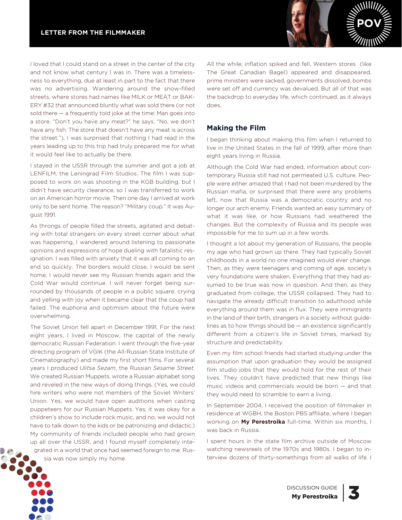

i loved that i could stand on a street in the center of the city and not know what century i was in. There was a timelessness to everything, due at least in part to the fact that there was no advertising. Wandering around the snow-filled streets, where stores had names like MiLK or MeAT or BAK-ERY #32 that announced bluntly what was sold there (or not sold there — a frequently told joke at the time: Man goes into a store. "Don't you have any meat?" he says. "No, we don't have any fish. The store that doesn't have any meat is across the street."), i was surprised that nothing i had read in the years leading up to this trip had truly prepared me for what it would feel like to actually be there.

I stayed in the USSR through the summer and got a job at LENFILM, the Leningrad Film Studios. The film I was supposed to work on was shooting in the KGB building, but i didn't have security clearance, so i was transferred to work on an American horror movie. Then one day I arrived at work only to be sent home. The reason? "Military coup." it was August 1991.

As throngs of people filled the streets, agitated and debating with total strangers on every street corner about what was happening, i wandered around listening to passionate opinions and expressions of hope dueling with fatalistic resignation. I was filled with anxiety that it was all coming to an end so quickly. The borders would close, I would be sent home, i would never see my Russian friends again and the Cold War would continue. I will never forget being surrounded by thousands of people in a public square, crying and yelling with joy when it became clear that the coup had failed. The euphoria and optimism about the future were overwhelming.

The Soviet Union fell apart in December 1991. For the next eight years, I lived in Moscow, the capital of the newly democratic Russian Federation. i went through the five-year directing program of VGiK (the All-Russian state institute of cinematography) and made my first short films. For several years i produced *Ulitsa Sezam*, the Russian *Sesame Street*. We created Russian Muppets, wrote a Russian alphabet song and reveled in the new ways of doing things. (Yes, we could hire writers who were not members of the Soviet Writers' Union. Yes, we would have open auditions when casting puppeteers for our Russian Muppets. Yes, it was okay for a children's show to include rock music, and no, we would not have to talk down to the kids or be patronizing and didactic.) My community of friends included people who had grown up all over the ussR, and i found myself completely integrated in a world that once had seemed foreign to me. Russia was now simply my home.

All the while, inflation spiked and fell, Western stores (like The Great canadian Bagel) appeared and disappeared, prime ministers were sacked, governments dissolved, bombs were set off and currency was devalued. But all of that was the backdrop to everyday life, which continued, as it always does.

# **making the film**

I began thinking about making this film when I returned to live in the United States in the fall of 1999, after more than eight years living in Russia.

Although the cold War had ended, information about contemporary Russia still had not permeated U.S. culture. People were either amazed that i had not been murdered by the Russian mafia, or surprised that there were any problems left, now that Russia was a democratic country and no longer our arch enemy. Friends wanted an easy summary of what it was like, or how Russians had weathered the changes. But the complexity of Russia and its people was impossible for me to sum up in a few words.

i thought a lot about my generation of Russians, the people my age who had grown up there. They had typically soviet childhoods in a world no one imagined would ever change. Then, as they were teenagers and coming of age, society's very foundations were shaken. Everything that they had assumed to be true was now in question. And then, as they graduated from college, the ussR collapsed. They had to navigate the already difficult transition to adulthood while everything around them was in flux. They were immigrants in the land of their birth, strangers in a society without guidelines as to how things should be  $-$  an existence significantly different from a citizen's life in soviet times, marked by structure and predictability.

Even my film school friends had started studying under the assumption that upon graduation they would be assigned film studio jobs that they would hold for the rest of their lives. They couldn't have predicted that new things like music videos and commercials would be born — and that they would need to scramble to earn a living.

In September 2004, I received the position of filmmaker in residence at WGBH, the Boston PBs affiliate, where i began working on **my Perestroika** full-time. Within six months, i was back in Russia.

i spent hours in the state film archive outside of Moscow watching newsreels of the 1970s and 1980s. I began to interview dozens of thirty-somethings from all walks of life. i

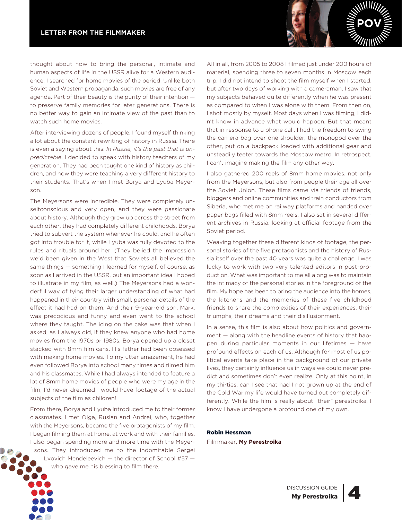

thought about how to bring the personal, intimate and human aspects of life in the USSR alive for a Western audience. I searched for home movies of the period. Unlike both soviet and Western propaganda, such movies are free of any agenda. Part of their beauty is the purity of their intention to preserve family memories for later generations. There is no better way to gain an intimate view of the past than to watch such home movies.

After interviewing dozens of people, I found myself thinking a lot about the constant rewriting of history in Russia. There is even a saying about this: *In Russia, it's the past that is unpredictable*. i decided to speak with history teachers of my generation. They had been taught one kind of history as children, and now they were teaching a very different history to their students. That's when i met Borya and Lyuba Meyerson.

The Meyersons were incredible. They were completely unselfconscious and very open, and they were passionate about history. Although they grew up across the street from each other, they had completely different childhoods. Borya tried to subvert the system whenever he could, and he often got into trouble for it, while Lyuba was fully devoted to the rules and rituals around her. (They belied the impression we'd been given in the West that soviets all believed the same things – something I learned for myself, of course, as soon as I arrived in the USSR, but an important idea I hoped to illustrate in my film, as well.) The Meyersons had a wonderful way of tying their larger understanding of what had happened in their country with small, personal details of the effect it had had on them. And their 9-year-old son, Mark, was precocious and funny and even went to the school where they taught. The icing on the cake was that when I asked, as I always did, if they knew anyone who had home movies from the 1970s or 1980s, Borya opened up a closet stacked with 8mm film cans. His father had been obsessed with making home movies. To my utter amazement, he had even followed Borya into school many times and filmed him and his classmates. While i had always intended to feature a lot of 8mm home movies of people who were my age in the film, I'd never dreamed I would have footage of the actual subjects of the film as children!

From there, Borya and Lyuba introduced me to their former classmates. i met olga, Ruslan and Andrei, who, together with the Meyersons, became the five protagonists of my film. i began filming them at home, at work and with their families. i also began spending more and more time with the Meyersons. They introduced me to the indomitable Sergei Lvovich Mendeleevich — the director of school #57 who gave me his blessing to film there.



i also gathered 200 reels of 8mm home movies, not only from the Meyersons, but also from people their age all over the Soviet Union. These films came via friends of friends, bloggers and online communities and train conductors from siberia, who met me on railway platforms and handed over paper bags filled with 8mm reels. I also sat in several different archives in Russia, looking at official footage from the soviet period.

Weaving together these different kinds of footage, the personal stories of the five protagonists and the history of Russia itself over the past 40 years was quite a challenge. I was lucky to work with two very talented editors in post-production. What was important to me all along was to maintain the intimacy of the personal stories in the foreground of the film. My hope has been to bring the audience into the homes, the kitchens and the memories of these five childhood friends to share the complexities of their experiences, their triumphs, their dreams and their disillusionment.

in a sense, this film is also about how politics and government — along with the headline events of history that happen during particular moments in our lifetimes — have profound effects on each of us. Although for most of us political events take place in the background of our private lives, they certainly influence us in ways we could never predict and sometimes don't even realize. Only at this point, in my thirties, can i see that had i not grown up at the end of the cold War my life would have turned out completely differently. While the film is really about "their" perestroika, I know i have undergone a profound one of my own.

Robin Hessman Filmmaker, **my Perestroika**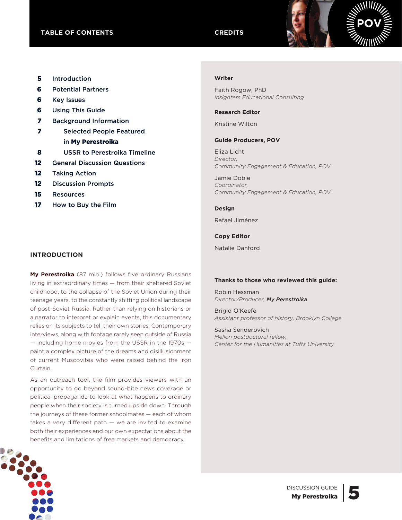

- 5 Introduction
- 6 Potential Partners
- **6** Key Issues
- **6** Using This Guide
- 7 Background Information
- 7 Selected People Featured in My Perestroika
- 8 USSR to Perestroika Timeline
- 12 General Discussion Questions
- 12 Taking Action
- 12 Discussion Prompts
- 15 Resources
- 17 How to Buy the Film

#### **Writer**

Faith Rogow, PhD *Insighters Educational Consulting*

#### **research editor**

Kristine Wilton

#### **guide Producers, PoV**

Eliza Licht *Director, Community Engagement & Education, POV*

Jamie Dobie *Coordinator, Community Engagement & Education, POV*

#### **design**

Rafael Jiménez

#### **copy editor**

Natalie Danford

#### **introduction**

**my Perestroika** (87 min.) follows five ordinary Russians living in extraordinary times — from their sheltered soviet childhood, to the collapse of the Soviet Union during their teenage years, to the constantly shifting political landscape of post-soviet Russia. Rather than relying on historians or a narrator to interpret or explain events, this documentary relies on its subjects to tell their own stories. Contemporary interviews, along with footage rarely seen outside of Russia  $-$  including home movies from the USSR in the 1970s  $$ paint a complex picture of the dreams and disillusionment of current Muscovites who were raised behind the iron curtain.

As an outreach tool, the film provides viewers with an opportunity to go beyond sound-bite news coverage or political propaganda to look at what happens to ordinary people when their society is turned upside down. Through the journeys of these former schoolmates — each of whom takes a very different path  $-$  we are invited to examine both their experiences and our own expectations about the benefits and limitations of free markets and democracy.

#### **thanks to those who reviewed this guide:**

Robin Hessman *Director/Producer, My Perestroika*

Brigid O'Keefe *Assistant professor of history, Brooklyn College*

Sasha Senderovich *Mellon postdoctoral fellow, Center for the Humanities at Tufts University*

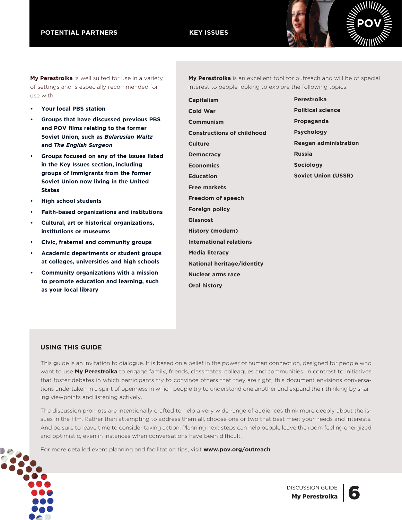

**my Perestroika** is well suited for use in a variety of settings and is especially recommended for use with:

- **• your local PBs station**
- **• groups that have discussed previous PBs and PoV films relating to the former soviet union, such as** *Belarusian Waltz* **and** *The English Surgeon*
- **• groups focused on any of the issues listed in the key issues section, including groups of immigrants from the former soviet union now living in the united states**
- **• high school students**
- **• faith-based organizations and institutions**
- **• cultural, art or historical organizations, institutions or museums**
- **• civic, fraternal and community groups**
- **• academic departments or student groups at colleges, universities and high schools**
- **• community organizations with a mission to promote education and learning, such as your local library**

**my Perestroika** is an excellent tool for outreach and will be of special interest to people looking to explore the following topics:

| <b>Capitalism</b>                 | Perestroika                  |
|-----------------------------------|------------------------------|
| <b>Cold War</b>                   | <b>Political science</b>     |
| Communism                         | Propaganda                   |
| <b>Constructions of childhood</b> | <b>Psychology</b>            |
| <b>Culture</b>                    | <b>Reagan administration</b> |
| <b>Democracy</b>                  | <b>Russia</b>                |
| <b>Economics</b>                  | <b>Sociology</b>             |
| <b>Education</b>                  | <b>Soviet Union (USSR)</b>   |
| <b>Free markets</b>               |                              |
| Freedom of speech                 |                              |
| <b>Foreign policy</b>             |                              |
| Glasnost                          |                              |
| <b>History (modern)</b>           |                              |
| International relations           |                              |
| <b>Media literacy</b>             |                              |
| National heritage/identity        |                              |
| <b>Nuclear arms race</b>          |                              |
| <b>Oral history</b>               |                              |

# **using this guide**

This guide is an invitation to dialogue. it is based on a belief in the power of human connection, designed for people who want to use **my Perestroika** to engage family, friends, classmates, colleagues and communities. in contrast to initiatives that foster debates in which participants try to convince others that they are right, this document envisions conversations undertaken in a spirit of openness in which people try to understand one another and expand their thinking by sharing viewpoints and listening actively.

The discussion prompts are intentionally crafted to help a very wide range of audiences think more deeply about the issues in the film. Rather than attempting to address them all, choose one or two that best meet your needs and interests. And be sure to leave time to consider taking action. Planning next steps can help people leave the room feeling energized and optimistic, even in instances when conversations have been difficult.

For more detailed event planning and facilitation tips, visit **www.pov.org/outreach**

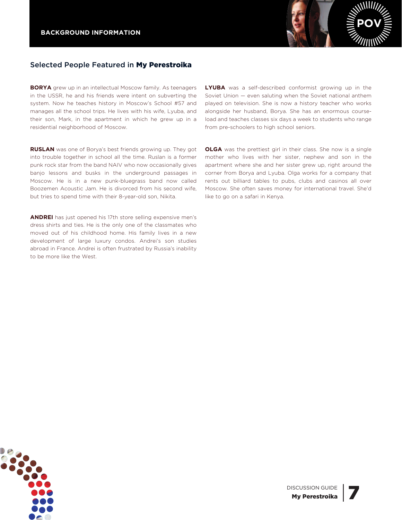

# Selected People Featured in My Perestroika

**Borya** grew up in an intellectual Moscow family. As teenagers in the ussR, he and his friends were intent on subverting the system. Now he teaches history in Moscow's School #57 and manages all the school trips. He lives with his wife, Lyuba, and their son, Mark, in the apartment in which he grew up in a residential neighborhood of Moscow.

**rusLan** was one of Borya's best friends growing up. They got into trouble together in school all the time. Ruslan is a former punk rock star from the band nAiV who now occasionally gives banjo lessons and busks in the underground passages in Moscow. He is in a new punk-bluegrass band now called Boozemen Acoustic Jam. He is divorced from his second wife, but tries to spend time with their 8-year-old son, Nikita.

**ANDREI** has just opened his 17th store selling expensive men's dress shirts and ties. He is the only one of the classmates who moved out of his childhood home. His family lives in a new development of large luxury condos. Andrei's son studies abroad in France. Andrei is often frustrated by Russia's inability to be more like the West.

**LyuBa** was a self-described conformist growing up in the Soviet Union  $-$  even saluting when the Soviet national anthem played on television. she is now a history teacher who works alongside her husband, Borya. she has an enormous courseload and teaches classes six days a week to students who range from pre-schoolers to high school seniors.

**OLGA** was the prettiest girl in their class. She now is a single mother who lives with her sister, nephew and son in the apartment where she and her sister grew up, right around the corner from Borya and Lyuba. Olga works for a company that rents out billiard tables to pubs, clubs and casinos all over Moscow. she often saves money for international travel. she'd like to go on a safari in Kenya.

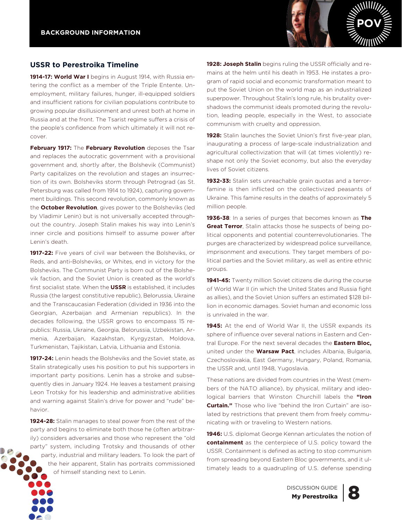

**1914-17: World War i** begins in August 1914, with Russia entering the conflict as a member of the Triple Entente. Unemployment, military failures, hunger, ill-equipped soldiers and insufficient rations for civilian populations contribute to growing popular disillusionment and unrest both at home in Russia and at the front. The Tsarist regime suffers a crisis of the people's confidence from which ultimately it will not recover.

**february 1917:** The **february revolution** deposes the Tsar and replaces the autocratic government with a provisional government and, shortly after, the Bolshevik (communist) Party capitalizes on the revolution and stages an insurrection of its own. Bolsheviks storm through Petrograd (as st. Petersburg was called from 1914 to 1924), capturing government buildings. This second revolution, commonly known as the **october revolution**, gives power to the Bolsheviks (led by Vladimir Lenin) but is not universally accepted throughout the country. Joseph stalin makes his way into Lenin's inner circle and positions himself to assume power after Lenin's death.

**1917-22:** Five years of civil war between the Bolsheviks, or Reds, and anti-Bolsheviks, or Whites, end in victory for the Bolsheviks. The communist Party is born out of the Bolshevik faction, and the Soviet Union is created as the world's first socialist state. When the **ussr** is established, it includes Russia (the largest constitutive republic), Belorussia, ukraine and the Transcaucasian Federation (divided in 1936 into the Georgian, Azerbaijan and Armenian republics). in the decades following, the ussR grows to encompass 15 republics: Russia, Ukraine, Georgia, Belorussia, Uzbekistan, Armenia, Azerbaijan, Kazakhstan, Kyrgyzstan, Moldova, Turkmenistan, Tajikistan, Latvia, Lithuania and Estonia.

**1917-24:** Lenin heads the Bolsheviks and the Soviet state, as stalin strategically uses his position to put his supporters in important party positions. Lenin has a stroke and subsequently dies in January 1924. He leaves a testament praising Leon Trotsky for his leadership and administrative abilities and warning against stalin's drive for power and "rude" behavior.

1924-28: Stalin manages to steal power from the rest of the party and begins to eliminate both those he (often arbitrarily) considers adversaries and those who represent the "old party" system, including Trotsky and thousands of other party, industrial and military leaders. To look the part of the heir apparent, stalin has portraits commissioned of himself standing next to Lenin.

1928: **Joseph Stalin** begins ruling the USSR officially and remains at the helm until his death in 1953. He instates a program of rapid social and economic transformation meant to put the Soviet Union on the world map as an industrialized superpower. Throughout Stalin's long rule, his brutality overshadows the communist ideals promoted during the revolution, leading people, especially in the West, to associate communism with cruelty and oppression.

**PoV**

**1928:** Stalin launches the Soviet Union's first five-vear plan. inaugurating a process of large-scale industrialization and agricultural collectivization that will (at times violently) reshape not only the soviet economy, but also the everyday lives of soviet citizens.

1932-33: Stalin sets unreachable grain quotas and a terrorfamine is then inflicted on the collectivized peasants of Ukraine. This famine results in the deaths of approximately 5 million people.

**1936-38**: in a series of purges that becomes known as **the Great Terror**, Stalin attacks those he suspects of being political opponents and potential counterrevolutionaries. The purges are characterized by widespread police surveillance, imprisonment and executions. They target members of political parties and the soviet military, as well as entire ethnic groups.

**1941-45:** Twenty million soviet citizens die during the course of World War II (in which the United States and Russia fight as allies), and the Soviet Union suffers an estimated \$128 billion in economic damages. soviet human and economic loss is unrivaled in the war.

1945: At the end of World War II, the USSR expands its sphere of influence over several nations in Eastern and Central Europe. For the next several decades the **Eastern Bloc,** united under the **Warsaw Pact**, includes Albania, Bulgaria, Czechoslovakia, East Germany, Hungary, Poland, Romania, the USSR and, until 1948, Yugoslavia.

These nations are divided from countries in the West (members of the NATO alliance), by physical, military and ideological barriers that Winston churchill labels the **"iron Curtain."** Those who live "behind the Iron Curtain" are isolated by restrictions that prevent them from freely communicating with or traveling to Western nations.

1946: U.S. diplomat George Kennan articulates the notion of **containment** as the centerpiece of U.S. policy toward the ussR. containment is defined as acting to stop communism from spreading beyond Eastern Bloc governments, and it ultimately leads to a quadrupling of U.S. defense spending

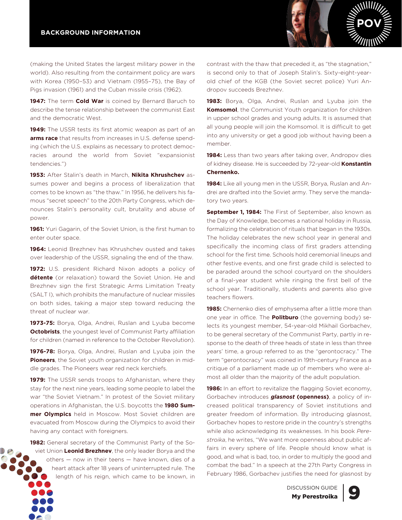

(making the United States the largest military power in the world). Also resulting from the containment policy are wars with Korea (1950–53) and Vietnam (1955–75), the Bay of Pigs invasion (1961) and the cuban missile crisis (1962).

**1947:** The term **cold War** is coined by Bernard Baruch to describe the tense relationship between the communist East and the democratic West.

**1949:** The USSR tests its first atomic weapon as part of an **arms race** that results from increases in U.S. defense spending (which the U.S. explains as necessary to protect democracies around the world from soviet "expansionist tendencies.")

**1953:** After stalin's death in March, **nikita khrushchev** assumes power and begins a process of liberalization that comes to be known as "the thaw." in 1956, he delivers his famous "secret speech" to the 20th Party congress, which denounces stalin's personality cult, brutality and abuse of power.

**1961:** Yuri Gagarin, of the Soviet Union, is the first human to enter outer space.

**1964:** Leonid Brezhnev has Khrushchev ousted and takes over leadership of the ussR, signaling the end of the thaw.

**1972:** U.S. president Richard Nixon adopts a policy of détente (or relaxation) toward the Soviet Union. He and Brezhnev sign the first strategic Arms Limitation Treaty (sALT i), which prohibits the manufacture of nuclear missiles on both sides, taking a major step toward reducing the threat of nuclear war.

1973-75: Borya, Olga, Andrei, Ruslan and Lyuba become **Octobrists**, the youngest level of Communist Party affiliation for children (named in reference to the October Revolution).

**1976-78:** Borya, olga, Andrei, Ruslan and Lyuba join the **Pioneers**, the Soviet youth organization for children in middle grades. The Pioneers wear red neck kerchiefs.

**1979:** The USSR sends troops to Afghanistan, where they stay for the next nine years, leading some people to label the war "the soviet Vietnam." in protest of the soviet military operations in Afghanistan, the u.s. boycotts the **1980 summer olympics** held in Moscow. Most soviet children are evacuated from Moscow during the olympics to avoid their having any contact with foreigners.

**1982:** General secretary of the communist Party of the so-

viet Union Leonid Brezhnev, the only leader Borya and the others — now in their teens — have known, dies of a heart attack after 18 years of uninterrupted rule. The length of his reign, which came to be known, in

contrast with the thaw that preceded it, as "the stagnation," is second only to that of Joseph stalin's. sixty-eight-yearold chief of the KGB (the soviet secret police) Yuri Andropov succeeds Brezhnev.

1983: Borya, Olga, Andrei, Ruslan and Lyuba join the **komsomol**, the communist Youth organization for children in upper school grades and young adults. it is assumed that all young people will join the Komsomol. it is difficult to get into any university or get a good job without having been a member.

**1984:** Less than two years after taking over, Andropov dies of kidney disease. He is succeeded by 72-year-old **konstantin chernenko.**

1984: Like all young men in the USSR, Borya, Ruslan and Andrei are drafted into the soviet army. They serve the mandatory two years.

**september 1, 1984:** The First of september, also known as the Day of Knowledge, becomes a national holiday in Russia, formalizing the celebration of rituals that began in the 1930s. The holiday celebrates the new school year in general and specifically the incoming class of first graders attending school for the first time. schools hold ceremonial lineups and other festive events, and one first grade child is selected to be paraded around the school courtyard on the shoulders of a final-year student while ringing the first bell of the school year. Traditionally, students and parents also give teachers flowers.

**1985:** chernenko dies of emphysema after a little more than one year in office. The **Politburo** (the governing body) selects its youngest member, 54-year-old Mikhail Gorbachev, to be general secretary of the communist Party, partly in response to the death of three heads of state in less than three years' time, a group referred to as the "gerontocracy." The term "gerontocracy" was coined in 19th-century France as a critique of a parliament made up of members who were almost all older than the majority of the adult population.

**1986:** In an effort to revitalize the flagging Soviet economy, Gorbachev introduces *glasnost* **(openness)**, a policy of increased political transparency of soviet institutions and greater freedom of information. By introducing glasnost, Gorbachev hopes to restore pride in the country's strengths while also acknowledging its weaknesses. in his book *Perestroika*, he writes, "We want more openness about public affairs in every sphere of life. People should know what is good, and what is bad, too, in order to multiply the good and combat the bad." in a speech at the 27th Party congress in February 1986, Gorbachev justifies the need for glasnost by

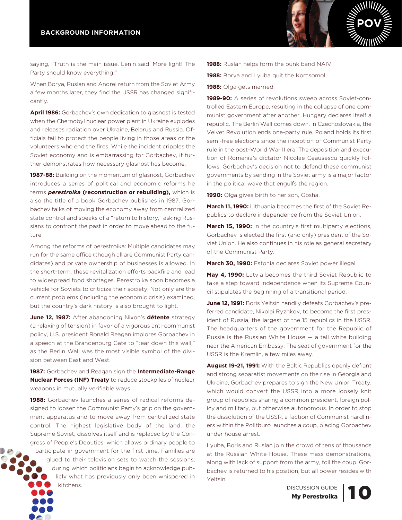

saying, "Truth is the main issue. Lenin said: More light! The Party should know everything!"

When Borya, Ruslan and Andrei return from the soviet Army a few months later, they find the USSR has changed significantly.

**april 1986:** Gorbachev's own dedication to glasnost is tested when the Chernobyl nuclear power plant in Ukraine explodes and releases radiation over ukraine, Belarus and Russia. officials fail to protect the people living in those areas or the volunteers who end the fires. While the incident cripples the soviet economy and is embarrassing for Gorbachev, it further demonstrates how necessary glasnost has become.

**1987-88:** Building on the momentum of glasnost, Gorbachev introduces a series of political and economic reforms he terms *perestroika* **(reconstruction or rebuilding),** which is also the title of a book Gorbachev publishes in 1987. Gorbachev talks of moving the economy away from centralized state control and speaks of a "return to history," asking Russians to confront the past in order to move ahead to the future.

Among the reforms of perestroika: Multiple candidates may run for the same office (though all are communist Party candidates) and private ownership of businesses is allowed. in the short-term, these revitalization efforts backfire and lead to widespread food shortages. Perestroika soon becomes a vehicle for Soviets to criticize their society. Not only are the current problems (including the economic crisis) examined, but the country's dark history is also brought to light.

**June 12, 1987:** After abandoning nixon's **détente** strategy (a relaxing of tension) in favor of a vigorous anti-communist policy, u.s. president Ronald Reagan implores Gorbachev in a speech at the Brandenburg Gate to "tear down this wall," as the Berlin Wall was the most visible symbol of the division between East and West.

**1987:** Gorbachev and Reagan sign the **Intermediate-Range nuclear forces (inf) treaty** to reduce stockpiles of nuclear weapons in mutually verifiable ways.

**1988:** Gorbachev launches a series of radical reforms designed to loosen the communist Party's grip on the government apparatus and to move away from centralized state control. The highest legislative body of the land, the supreme soviet, dissolves itself and is replaced by the congress of People's Deputies, which allows ordinary people to participate in government for the first time. Families are glued to their television sets to watch the sessions, during which politicians begin to acknowledge publicly what has previously only been whispered in kitchens.

**1988:** Ruslan helps form the punk band NAIV.

**1988:** Borya and Lyuba quit the Komsomol.

1988: Olga gets married.

**1989-90:** A series of revolutions sweep across Soviet-controlled Eastern Europe, resulting in the collapse of one communist government after another. Hungary declares itself a republic. The Berlin Wall comes down. in czechoslovakia, the Velvet Revolution ends one-party rule. Poland holds its first semi-free elections since the inception of communist Party rule in the post-World War ii era. The deposition and execution of Romania's dictator Nicolae Ceausescu quickly follows. Gorbachev's decision not to defend these communist governments by sending in the soviet army is a major factor in the political wave that engulfs the region.

1990: Olga gives birth to her son, Gosha.

**march 11, 1990:** Lithuania becomes the first of the soviet Republics to declare independence from the Soviet Union.

**march 15, 1990:** in the country's first multiparty elections, Gorbachev is elected the first (and only) president of the soviet Union. He also continues in his role as general secretary of the communist Party.

March 30, 1990: Estonia declares Soviet power illegal.

**may 4, 1990:** Latvia becomes the third soviet Republic to take a step toward independence when its supreme council stipulates the beginning of a transitional period.

**June 12, 1991:** Boris Yeltsin handily defeats Gorbachev's preferred candidate, nikolai Ryzhkov, to become the first president of Russia, the largest of the 15 republics in the USSR. The headquarters of the government for the Republic of Russia is the Russian White House  $-$  a tall white building near the American Embassy. The seat of government for the USSR is the Kremlin, a few miles away.

**august 19-21, 1991:** With the Baltic Republics openly defiant and strong separatist movements on the rise in Georgia and Ukraine, Gorbachev prepares to sign the New Union Treaty, which would convert the USSR into a more loosely knit group of republics sharing a common president, foreign policy and military, but otherwise autonomous. in order to stop the dissolution of the USSR, a faction of Communist hardliners within the Politburo launches a coup, placing Gorbachev under house arrest.

Lyuba, Boris and Ruslan join the crowd of tens of thousands at the Russian White House. These mass demonstrations, along with lack of support from the army, foil the coup. Gorbachev is returned to his position, but all power resides with Yeltsin.

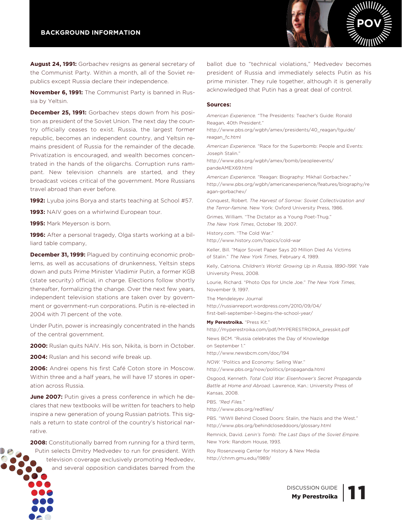

**august 24, 1991:** Gorbachev resigns as general secretary of the communist Party. Within a month, all of the soviet republics except Russia declare their independence.

**november 6, 1991:** The communist Party is banned in Russia by Yeltsin.

**december 25, 1991:** Gorbachev steps down from his position as president of the Soviet Union. The next day the country officially ceases to exist. Russia, the largest former republic, becomes an independent country, and Yeltsin remains president of Russia for the remainder of the decade. Privatization is encouraged, and wealth becomes concentrated in the hands of the oligarchs. corruption runs rampant. New television channels are started, and they broadcast voices critical of the government. More Russians travel abroad than ever before.

**1992:** Lyuba joins Borya and starts teaching at School #57.

**1993:** NAIV goes on a whirlwind European tour.

**1995:** Mark Meyerson is born.

1996: After a personal tragedy, Olga starts working at a billiard table company,

**december 31, 1999:** Plagued by continuing economic problems, as well as accusations of drunkenness, Yeltsin steps down and puts Prime Minister Vladimir Putin, a former KGB (state security) official, in charge. Elections follow shortly thereafter, formalizing the change. Over the next few years, independent television stations are taken over by government or government-run corporations. Putin is re-elected in 2004 with 71 percent of the vote.

Under Putin, power is increasingly concentrated in the hands of the central government.

**2000:** Ruslan quits NAIV. His son, Nikita, is born in October.

**2004:** Ruslan and his second wife break up.

**2006:** Andrei opens his first café coton store in Moscow. Within three and a half years, he will have 17 stores in operation across Russia.

**June 2007:** Putin gives a press conference in which he declares that new textbooks will be written for teachers to help inspire a new generation of young Russian patriots. This signals a return to state control of the country's historical narrative.

**2008:** Constitutionally barred from running for a third term,

Putin selects Dmitry Medvedev to run for president. With television coverage exclusively promoting Medvedev, and several opposition candidates barred from the

ballot due to "technical violations," Medvedev becomes president of Russia and immediately selects Putin as his prime minister. They rule together, although it is generally acknowledged that Putin has a great deal of control.

#### **sources:**

*American Experience.* "The Presidents: Teacher's Guide: Ronald Reagan, 40th President."

http://www.pbs.org/wgbh/amex/presidents/40\_reagan/tguide/ reagan\_fc.html

American Experience. "Race for the Superbomb: People and Events: Joseph stalin."

http://www.pbs.org/wgbh/amex/bomb/peopleevents/ pandeAMeX69.html

*American Experience.* "Reagan: Biography: Mikhail Gorbachev." http://www.pbs.org/wgbh/americanexperience/features/biography/re agan-gorbachev/

conquest, Robert. *The Harvest of Sorrow: Soviet Collectivization and the Terror-famine.* New York: Oxford University Press, 1986.

Grimes, William. "The Dictator as a Young Poet-Thug." *The New York Times*, october 19, 2007.

History.com. "The cold War."

http://www.history.com/topics/cold-war

Keller, Bill. "Major soviet Paper says 20 Million Died As Victims of stalin." *The New York Times*, February 4, 1989.

Kelly, catriona. *Children's World: Growing Up in Russia, 1890-1991.* Yale university Press, 2008.

Lourie, Richard. "Photo ops for uncle Joe." *The New York Times*, November 9, 1997.

The Mendeleyev Journal http://russianreport.wordpress.com/2010/09/04/ first-bell-september-1-begins-the-school-year/

**my Perestroika.** "Press Kit." http://myperestroika.com/pdf/MYPeResTRoiKA\_presskit.pdf

news BcM. "Russia celebrates the Day of Knowledge on september 1."

http://www.newsbcm.com/doc/194

*NOW.* "Politics and Economy: Selling War." http://www.pbs.org/now/politics/propaganda.html

osgood, Kenneth. *Total Cold War: Eisenhower's Secret Propaganda Battle at Home and Abroad.* Lawrence, Kan.: university Press of Kansas, 2008.

PBs. *"Red Files."*

http://www.pbs.org/redfiles/

PBS. "WWII Behind Closed Doors: Stalin, the Nazis and the West." http://www.pbs.org/behindcloseddoors/glossary.html

Remnick, David. *Lenin's Tomb: The Last Days of the Soviet Empire.* New York: Random House, 1993.

Roy Rosenzweig center for History & new Media http://chnm.gmu.edu/1989/

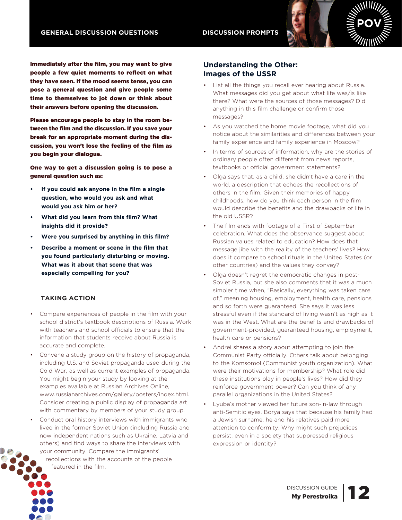

Immediately after the film, you may want to give people a few quiet moments to reflect on what they have seen. If the mood seems tense, you can pose a general question and give people some time to themselves to jot down or think about their answers before opening the discussion.

Please encourage people to stay in the room between the film and the discussion. If you save your break for an appropriate moment during the discussion, you won't lose the feeling of the film as you begin your dialogue.

One way to get a discussion going is to pose a general question such as:

- **• if you could ask anyone in the film a single question, who would you ask and what would you ask him or her?**
- **• What did you learn from this film? What insights did it provide?**
- **• Were you surprised by anything in this film?**
- **• describe a moment or scene in the film that you found particularly disturbing or moving. What was it about that scene that was especially compelling for you?**

# **taking action**

- compare experiences of people in the film with your school district's textbook descriptions of Russia. Work with teachers and school officials to ensure that the information that students receive about Russia is accurate and complete.
- Convene a study group on the history of propaganda, including U.S. and Soviet propaganda used during the cold War, as well as current examples of propaganda. You might begin your study by looking at the examples available at Russian Archives Online, www.russianarchives.com/gallery/posters/index.html. consider creating a public display of propaganda art with commentary by members of your study group.
- Conduct oral history interviews with immigrants who lived in the former Soviet Union (including Russia and now independent nations such as ukraine, Latvia and others) and find ways to share the interviews with your community. compare the immigrants'

recollections with the accounts of the people featured in the film.

# **understanding the other: images of the ussr**

- List all the things you recall ever hearing about Russia. What messages did you get about what life was/is like there? What were the sources of those messages? Did anything in this film challenge or confirm those messages?
- As you watched the home movie footage, what did you notice about the similarities and differences between your family experience and family experience in Moscow?
- In terms of sources of information, why are the stories of ordinary people often different from news reports, textbooks or official government statements?
- olga says that, as a child, she didn't have a care in the world, a description that echoes the recollections of others in the film. Given their memories of happy childhoods, how do you think each person in the film would describe the benefits and the drawbacks of life in the old ussR?
- The film ends with footage of a First of September celebration. What does the observance suggest about Russian values related to education? How does that message jibe with the reality of the teachers' lives? How does it compare to school rituals in the United States (or other countries) and the values they convey?
- Olga doesn't regret the democratic changes in postsoviet Russia, but she also comments that it was a much simpler time when, "Basically, everything was taken care of," meaning housing, employment, health care, pensions and so forth were guaranteed. she says it was less stressful even if the standard of living wasn't as high as it was in the West. What are the benefits and drawbacks of government-provided, guaranteed housing, employment, health care or pensions?
- Andrei shares a story about attempting to join the communist Party officially. others talk about belonging to the Komsomol (communist youth organization). What were their motivations for membership? What role did these institutions play in people's lives? How did they reinforce government power? Can you think of any parallel organizations in the United States?
- Lyuba's mother viewed her future son-in-law through anti-Semitic eyes. Borya says that because his family had a Jewish surname, he and his relatives paid more attention to conformity. Why might such prejudices persist, even in a society that suppressed religious expression or identity?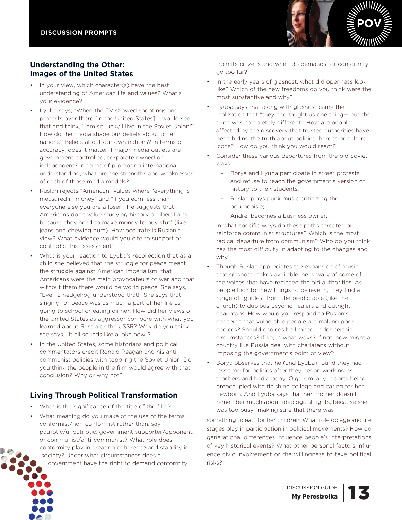

# **understanding the other: images of the united states**

- In your view, which character(s) have the best understanding of American life and values? What's your evidence?
- Lyuba says, "When the TV showed shootings and protests over there [in the United States], I would see that and think, 'I am so lucky I live in the Soviet Union!"" How do the media shape our beliefs about other nations? Beliefs about our own nations? in terms of accuracy, does it matter if major media outlets are government controlled, corporate owned or independent? in terms of promoting international understanding, what are the strengths and weaknesses of each of those media models?
- Ruslan rejects "American" values where "everything is measured in money" and "if you earn less than everyone else you are a loser." He suggests that Americans don't value studying history or liberal arts because they need to make money to buy stuff (like jeans and chewing gum). How accurate is Ruslan's view? What evidence would you cite to support or contradict his assessment?
- What is your reaction to Lyuba's recollection that as a child she believed that the struggle for peace meant the struggle against American imperialism, that Americans were the main provocateurs of war and that without them there would be world peace. She says, "even a hedgehog understood that!" she says that singing for peace was as much a part of her life as going to school or eating dinner. How did her views of the United States as aggressor compare with what you learned about Russia or the ussR? Why do you think she says, "it all sounds like a joke now"?
- In the United States, some historians and political commentators credit Ronald Reagan and his anticommunist policies with toppling the Soviet Union. Do you think the people in the film would agree with that conclusion? Why or why not?

# **Living through Political transformation**

- What is the significance of the title of the film?
- What meaning do you make of the use of the terms conformist/non-conformist rather than, say, patriotic/unpatriotic, government supporter/opponent, or communist/anti-communist? What role does conformity play in creating coherence and stability in society? Under what circumstances does a government have the right to demand conformity

from its citizens and when do demands for conformity go too far?

- In the early years of glasnost, what did openness look like? Which of the new freedoms do you think were the most substantive and why?
- Lyuba says that along with glasnost came the realization that "they had taught us one thing— but the truth was completely different." How are people affected by the discovery that trusted authorities have been hiding the truth about political heroes or cultural icons? How do you think you would react?
- Consider these various departures from the old Soviet ways:
	- Borya and Lyuba participate in street protests and refuse to teach the government's version of history to their students;
	- Ruslan plays punk music criticizing the bourgeoisie;
	- Andrei becomes a business owner.

in what specific ways do these paths threaten or reinforce communist structures? Which is the most radical departure from communism? Who do you think has the most difficulty in adapting to the changes and why?

- Though Ruslan appreciates the expansion of music that glasnost makes available, he is wary of some of the voices that have replaced the old authorities. As people look for new things to believe in, they find a range of "guides" from the predictable (like the church) to dubious psychic healers and outright charlatans. How would you respond to Ruslan's concerns that vulnerable people are making poor choices? should choices be limited under certain circumstances? if so, in what ways? if not, how might a country like Russia deal with charlatans without imposing the government's point of view?
- Borya observes that he (and Lyuba) found they had less time for politics after they began working as teachers and had a baby. Olga similarly reports being preoccupied with finishing college and caring for her newborn. And Lyuba says that her mother doesn't remember much about ideological fights, because she was too busy "making sure that there was

something to eat" for her children. What role do age and life stages play in participation in political movements? How do generational differences influence people's interpretations of key historical events? What other personal factors influence civic involvement or the willingness to take political risks?

DISCUSSION GUIDE 13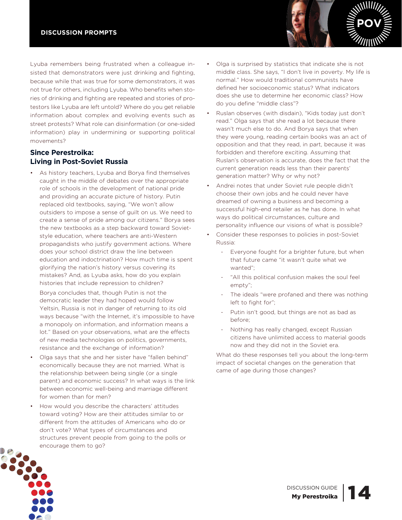Lyuba remembers being frustrated when a colleague insisted that demonstrators were just drinking and fighting, because while that was true for some demonstrators, it was not true for others, including Lyuba. Who benefits when stories of drinking and fighting are repeated and stories of protestors like Lyuba are left untold? Where do you get reliable information about complex and evolving events such as street protests? What role can disinformation (or one-sided information) play in undermining or supporting political movements?

# **since Perestroika: Living in Post-Soviet Russia**

As history teachers, Lyuba and Borya find themselves caught in the middle of debates over the appropriate role of schools in the development of national pride and providing an accurate picture of history. Putin replaced old textbooks, saying, "We won't allow outsiders to impose a sense of guilt on us. We need to create a sense of pride among our citizens." Borya sees the new textbooks as a step backward toward Sovietstyle education, where teachers are anti-Western propagandists who justify government actions. Where does your school district draw the line between education and indoctrination? How much time is spent glorifying the nation's history versus covering its mistakes? And, as Lyuba asks, how do you explain histories that include repression to children?

Borya concludes that, though Putin is not the democratic leader they had hoped would follow Yeltsin, Russia is not in danger of returning to its old ways because "with the internet, it's impossible to have a monopoly on information, and information means a lot." Based on your observations, what are the effects of new media technologies on politics, governments, resistance and the exchange of information?

- olga says that she and her sister have "fallen behind" economically because they are not married. What is the relationship between being single (or a single parent) and economic success? in what ways is the link between economic well-being and marriage different for women than for men?
- How would you describe the characters' attitudes toward voting? How are their attitudes similar to or different from the attitudes of Americans who do or don't vote? What types of circumstances and structures prevent people from going to the polls or encourage them to go?

• olga is surprised by statistics that indicate she is not middle class. she says, "i don't live in poverty. My life is normal." How would traditional communists have defined her socioeconomic status? What indicators does she use to determine her economic class? How do you define "middle class"?

**PoV**

- Ruslan observes (with disdain), "Kids today just don't read." Olga says that she read a lot because there wasn't much else to do. And Borya says that when they were young, reading certain books was an act of opposition and that they read, in part, because it was forbidden and therefore exciting. Assuming that Ruslan's observation is accurate, does the fact that the current generation reads less than their parents' generation matter? Why or why not?
- Andrei notes that under soviet rule people didn't choose their own jobs and he could never have dreamed of owning a business and becoming a successful high-end retailer as he has done. in what ways do political circumstances, culture and personality influence our visions of what is possible?
- Consider these responses to policies in post-Soviet Russia:
	- Everyone fought for a brighter future, but when that future came "it wasn't quite what we wanted";
	- "All this political confusion makes the soul feel empty";
	- The ideals "were profaned and there was nothing left to fight for";
	- Putin isn't good, but things are not as bad as before;
	- nothing has really changed, except Russian citizens have unlimited access to material goods now and they did not in the soviet era.

What do these responses tell you about the long-term impact of societal changes on the generation that came of age during those changes?



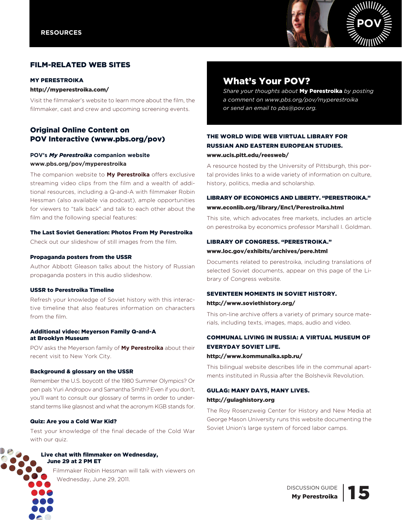

# FILM-RELATED WEB SITES

#### **MY PERESTROIKA**

#### http://myperestroika.com/

Visit the filmmaker's website to learn more about the film, the filmmaker, cast and crew and upcoming screening events.

# Original Online Content on POV Interactive (www.pbs.org/pov)

# **PoV's** *My Perestroika* **companion website www.pbs.org/pov/myperestroika**

The companion website to **my Perestroika** offers exclusive streaming video clips from the film and a wealth of additional resources, including a Q-and-A with filmmaker Robin Hessman (also available via podcast), ample opportunities for viewers to "talk back" and talk to each other about the film and the following special features:

#### The Last Soviet Generation: Photos From My Perestroika

check out our slideshow of still images from the film.

#### Propaganda posters from the USSR

Author Abbott Gleason talks about the history of Russian propaganda posters in this audio slideshow.

#### USSR to Perestroika Timeline

Refresh your knowledge of soviet history with this interactive timeline that also features information on characters from the film.

#### Additional video: Meyerson Family Q-and-A at Brooklyn Museum

PoV asks the Meyerson family of **my Perestroika** about their recent visit to New York City.

#### Background & glossary on the USSR

Remember the U.S. boycott of the 1980 Summer Olympics? Or pen pals Yuri Andropov and Samantha Smith? Even if you don't, you'll want to consult our glossary of terms in order to understand terms like glasnost and what the acronym KGB stands for.

#### Quiz: Are you a Cold War kid?

Test your knowledge of the final decade of the cold War with our quiz.



Filmmaker Robin Hessman will talk with viewers on Wednesday, June 29, 2011.

# What's Your POV?

*Share your thoughts about* My Perestroika *by posting a comment on www.pbs.org/pov/myperestroika or send an email to pbs@pov.org.*

# THE WORLD WIDE WEB VIRTUAL LIBRARY FOR RUSSIAn AnD EASTERn EUROPEAn STUDIES. www.ucis.pitt.edu/reesweb/

A resource hosted by the University of Pittsburgh, this portal provides links to a wide variety of information on culture, history, politics, media and scholarship.

# LIBRARY OF ECOnOMICS AnD LIBERTY. "PERESTROIkA." www.econlib.org/library/Enc1/Perestroika.html

This site, which advocates free markets, includes an article on perestroika by economics professor Marshall i. Goldman.

# LIBRARY OF COnGRESS. "PERESTROIkA." www.loc.gov/exhibits/archives/pere.html

Documents related to perestroika, including translations of selected soviet documents, appear on this page of the Library of congress website.

# SEVEnTEEn MOMEnTS In SOVIET HISTORY. http://www.soviethistory.org/

This on-line archive offers a variety of primary source materials, including texts, images, maps, audio and video.

# COMMUnAL LIVInG In RUSSIA: A VIRTUAL MUSEUM OF EVERYDAY SOVIET LIFE.

# http://www.kommunalka.spb.ru/

This bilingual website describes life in the communal apartments instituted in Russia after the Bolshevik Revolution.

# GULAG: MAnY DAYS, MAnY LIVES. http://gulaghistory.org

The Roy Rosenzweig Center for History and New Media at George Mason University runs this website documenting the Soviet Union's large system of forced labor camps.

DISCUSSION GUIDE 15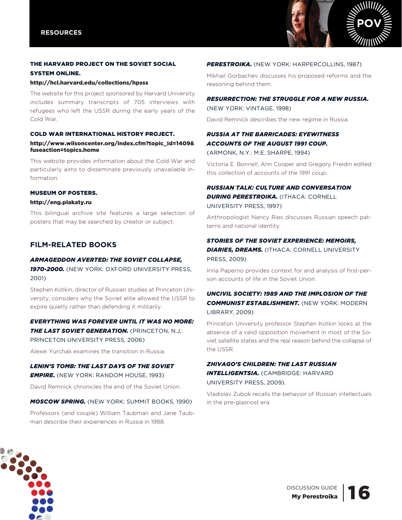

# THE HARVARD PROJECT On THE SOVIET SOCIAL SYSTEM OnLInE.

#### http://hcl.harvard.edu/collections/hpsss

The website for this project sponsored by Harvard University includes summary transcripts of 705 interviews with refugees who left the USSR during the early years of the cold War.

# COLD WAR InTERnATIOnAL HISTORY PROJECT.

#### http://www.wilsoncenter.org/index.cfm?topic\_id=1409& fuseaction=topics.home

This website provides information about the cold War and particularly aims to disseminate previously unavailable information.

#### MUSEUM OF POSTERS.

#### http://eng.plakaty.ru

This bilingual archive site features a large selection of posters that may be searched by creator or subject.

# **fiLm-reLated Books**

# *ArMAgeddon Averted: the Soviet CollAPSe,*

*1970-2000.* (NeW YORK: OxFORD UNIveRSItY PReSS, 2001)

Stephen Kotkin, director of Russian studies at Princeton University, considers why the soviet elite allowed the ussR to expire quietly rather than defending it militarily.

# *everything WAS Forever Until it WAS no More:*

*the lASt Soviet generAtion.* (PRINCetON, N.J.:

PRINCETON UNIVERSITY PRESS, 2006)

Alexei Yurchak examines the transition in Russia.

# *lenin'S toMb: the lASt dAyS oF the Soviet*

*eMPire.* (NeW YORK: RANDOm HOUSe, 1993)

David Remnick chronicles the end of the Soviet Union.

*MoSCoW SPring.* (NeW YORK: SUmmIt BOOKS, 1990)

Professors (and couple) William Taubman and Jane Taubman describe their experiences in Russia in 1988.

# *PereStroikA.* (NeW YORK: HARPeRCOLLINS, 1987)

Mikhail Gorbachev discusses his proposed reforms and the reasoning behind them.

### *reSUrreCtion: the StrUggle For A neW rUSSiA.*

(NeW YORK: vINtAGe, 1998)

David Remnick describes the new regime in Russia.

# *rUSSiA At the bArriCAdeS: eyeWitneSS ACCoUntS oF the AUgUSt 1991 CoUP.*

(ARmONK, N.Y.: m.e. SHARPe, 1994)

Victoria E. Bonnell, Ann Cooper and Gregory Freidin edited this collection of accounts of the 1991 coup.

# *rUSSiAn tAlk: CUltUre And ConverSAtion dUring PereStroikA.* (ItHACA: CORNeLL UNIveRSItY PReSS, 1997)

Anthropologist nancy Ries discusses Russian speech patterns and national identity.

# *StorieS oF the Soviet exPerienCe: MeMoirS,*

*diArieS, dreAMS.* (ItHACA: CORNeLL UNIveRSItY PReSS, 2009)

irina Paperno provides context for and analysis of first-person accounts of life in the Soviet Union.

# *UnCivil SoCiety: 1989 And the iMPloSion oF the CoMMUniSt eStAbliShMent.* (NeW YORK: mODeRN LIBRARY, 2009)

Princeton University professor Stephen Kotkin looks at the absence of a valid opposition movement in most of the soviet satellite states and the real reason behind the collapse of the USSR.

# *ZhivAgo'S Children: the lASt rUSSiAn intelligentSiA.* (CAmBRIDGe: HARvARD

UNIveRSItY PReSS, 2009).

Vladislav Zubok recalls the behavior of Russian intellectuals in the pre-glasnost era.